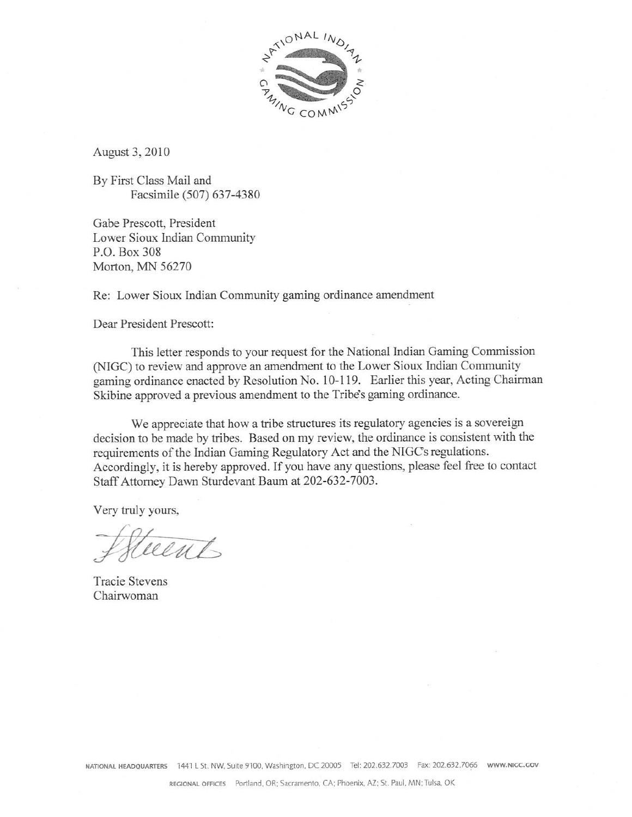

August 3, 2010

By First Class Mail and Facsimile (507) 637-4380

Gabe Prescott, President Lower Sioux Indian Community P.O. Box 308 Morton, MN 56270

Re: Lower Sioux Indian Community gaming ordinance amendment

Dear President Prescott:

This letter responds to your request for the National Indian Gaming Commission (NIGC) to review and approve an amendment to the Lower Sioux Indian Community gaming ordinance enacted by Resolution No. 10-119. Earlier this year, Acting Chairman Skibine approved a previous amendment to the Tribe's gaming ordinance.

We appreciate that how a tribe structures its regulatory agencies is a sovereign decision to be made by tribes. Based on my review, the ordinance is consistent with the requirements of the Indian Gaming Regulatory Act and the NIGC's regulations. Accordingly, it is hereby approved. If you have any questions, please feel free to contact Staff Attorney Dawn Sturdevant Baum at 202-632-7003.

Very truly yours,

Steethts

**Tracie Stevens** Chairwoman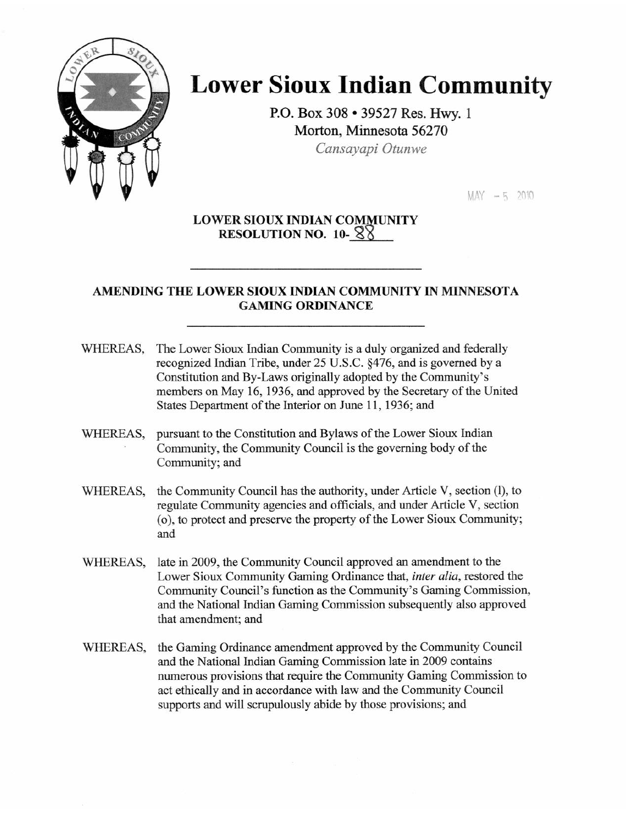

# **Lower Sioux Indian Community**

P.O. Box 308 . 39527 Res. Hwy. 1 Morton, Minnesota 56270 Cansavapi Otunwe

 $MAX - 5, 2010$ 

# **LOWER SIOUX INDIAN COMMUNITY** RESOLUTION NO.  $10 - 88$

# AMENDING THE LOWER SIOUX INDIAN COMMUNITY IN MINNESOTA **GAMING ORDINANCE**

- WHEREAS, The Lower Sioux Indian Community is a duly organized and federally recognized Indian Tribe, under 25 U.S.C. §476, and is governed by a Constitution and By-Laws originally adopted by the Community's members on May 16, 1936, and approved by the Secretary of the United States Department of the Interior on June 11, 1936; and
- WHEREAS, pursuant to the Constitution and Bylaws of the Lower Sioux Indian Community, the Community Council is the governing body of the Community; and
- the Community Council has the authority, under Article V, section (1), to WHEREAS, regulate Community agencies and officials, and under Article V, section (o), to protect and preserve the property of the Lower Sioux Community; and
- WHEREAS, late in 2009, the Community Council approved an amendment to the Lower Sioux Community Gaming Ordinance that, inter alia, restored the Community Council's function as the Community's Gaming Commission, and the National Indian Gaming Commission subsequently also approved that amendment; and
- the Gaming Ordinance amendment approved by the Community Council WHEREAS, and the National Indian Gaming Commission late in 2009 contains numerous provisions that require the Community Gaming Commission to act ethically and in accordance with law and the Community Council supports and will scrupulously abide by those provisions; and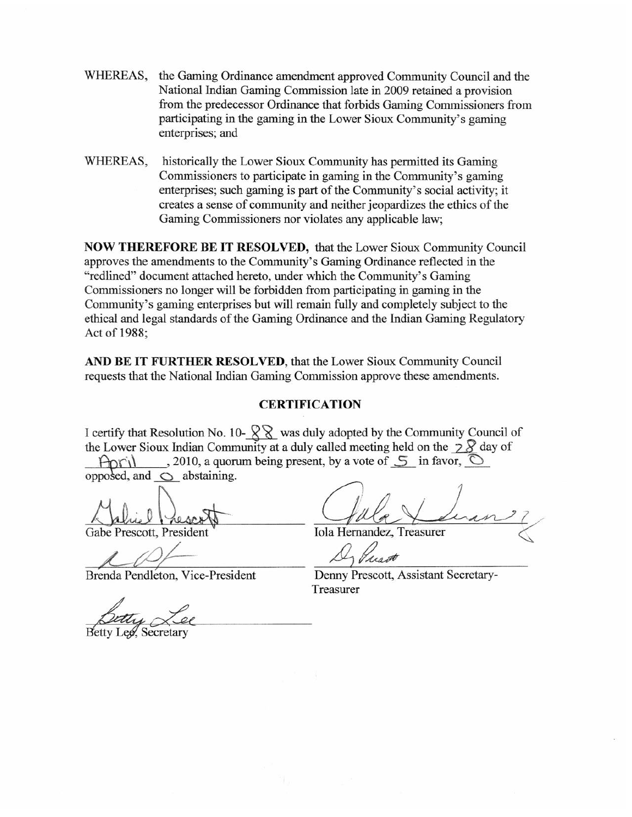- WHEREAS, the Gaming Ordinance amendment approved Community Council and the National Indian Gaming Commission late in 2009 retained a provision from the predecessor Ordinance that forbids Gaming Commissioners from participating in the gaming in the Lower Sioux Community's gaming enterprises; and
- historically the Lower Sioux Community has permitted its Gaming WHEREAS, Commissioners to participate in gaming in the Community's gaming enterprises; such gaming is part of the Community's social activity; it creates a sense of community and neither jeopardizes the ethics of the Gaming Commissioners nor violates any applicable law;

NOW THEREFORE BE IT RESOLVED, that the Lower Sioux Community Council approves the amendments to the Community's Gaming Ordinance reflected in the "redlined" document attached hereto, under which the Community's Gaming Commissioners no longer will be forbidden from participating in gaming in the Community's gaming enterprises but will remain fully and completely subject to the ethical and legal standards of the Gaming Ordinance and the Indian Gaming Regulatory Act of 1988;

AND BE IT FURTHER RESOLVED, that the Lower Sioux Community Council requests that the National Indian Gaming Commission approve these amendments.

#### **CERTIFICATION**

I certify that Resolution No. 10- $\sqrt{\frac{2}{3}}$  was duly adopted by the Community Council of the Lower Sioux Indian Community at a duly called meeting held on the  $\frac{1}{2}$  day of , 2010, a quorum being present, by a vote of  $\mathcal{F}$  in favor,  $\circledcirc$ Anril

opposed, and  $\bigcirc$  abstaining.

Gabe Prescott, President

Brenda Pendleton, Vice-President

**Iola Hernandez, Treasurer** 

Denny Prescott, Assistant Secretary-Treasurer

**Betty Lee.** Secretary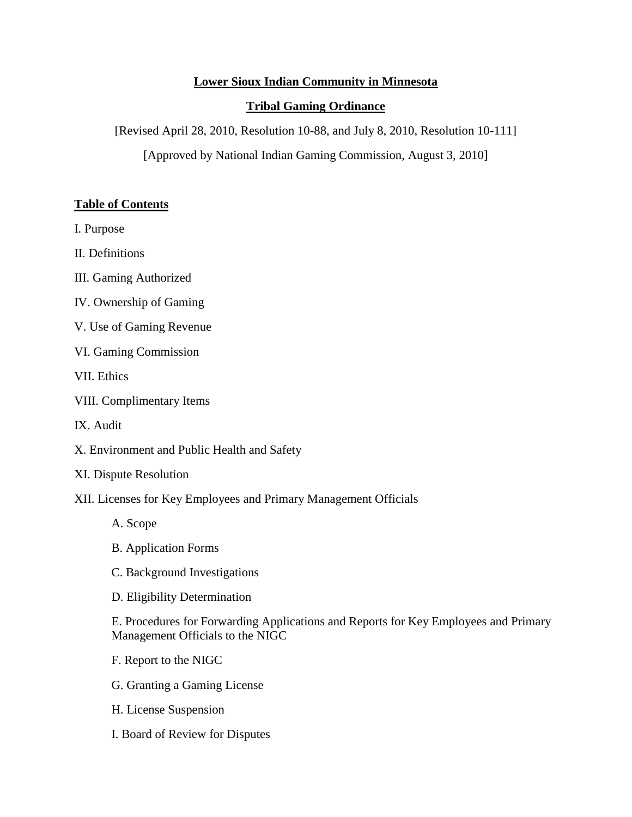# **Lower Sioux Indian Community in Minnesota**

## **Tribal Gaming Ordinance**

[Revised April 28, 2010, Resolution 10-88, and July 8, 2010, Resolution 10-111]

[Approved by National Indian Gaming Commission, August 3, 2010]

#### **Table of Contents**

I. Purpose

II. Definitions

III. Gaming Authorized

- IV. Ownership of Gaming
- V. Use of Gaming Revenue
- VI. Gaming Commission

VII. Ethics

- VIII. Complimentary Items
- IX. Audit
- X. Environment and Public Health and Safety
- XI. Dispute Resolution
- XII. Licenses for Key Employees and Primary Management Officials
	- A. Scope
	- B. Application Forms
	- C. Background Investigations
	- D. Eligibility Determination

E. Procedures for Forwarding Applications and Reports for Key Employees and Primary Management Officials to the NIGC

- F. Report to the NIGC
- G. Granting a Gaming License
- H. License Suspension
- I. Board of Review for Disputes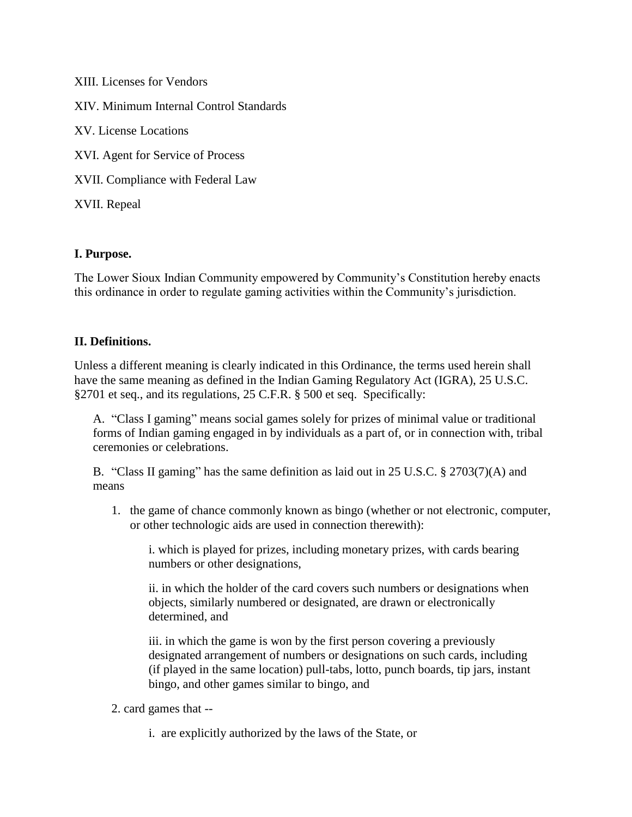XIII. Licenses for Vendors XIV. Minimum Internal Control Standards XV. License Locations XVI. Agent for Service of Process XVII. Compliance with Federal Law XVII. Repeal

# **I. Purpose.**

The Lower Sioux Indian Community empowered by Community's Constitution hereby enacts this ordinance in order to regulate gaming activities within the Community's jurisdiction.

## **II. Definitions.**

Unless a different meaning is clearly indicated in this Ordinance, the terms used herein shall have the same meaning as defined in the Indian Gaming Regulatory Act (IGRA), 25 U.S.C. §2701 et seq., and its regulations, 25 C.F.R. § 500 et seq. Specifically:

A. "Class I gaming" means social games solely for prizes of minimal value or traditional forms of Indian gaming engaged in by individuals as a part of, or in connection with, tribal ceremonies or celebrations.

B. "Class II gaming" has the same definition as laid out in 25 U.S.C. § 2703(7)(A) and means

1. the game of chance commonly known as bingo (whether or not electronic, computer, or other technologic aids are used in connection therewith):

i. which is played for prizes, including monetary prizes, with cards bearing numbers or other designations,

ii. in which the holder of the card covers such numbers or designations when objects, similarly numbered or designated, are drawn or electronically determined, and

iii. in which the game is won by the first person covering a previously designated arrangement of numbers or designations on such cards, including (if played in the same location) pull-tabs, lotto, punch boards, tip jars, instant bingo, and other games similar to bingo, and

- 2. card games that
	- i. are explicitly authorized by the laws of the State, or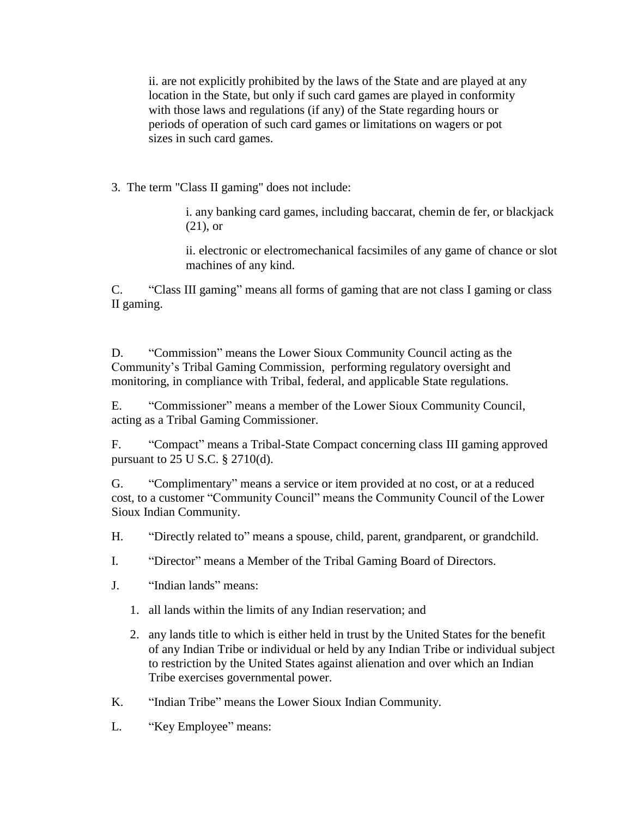ii. are not explicitly prohibited by the laws of the State and are played at any location in the State, but only if such card games are played in conformity with those laws and regulations (if any) of the State regarding hours or periods of operation of such card games or limitations on wagers or pot sizes in such card games.

3. The term "Class II gaming" does not include:

i. any banking card games, including baccarat, chemin de fer, or blackjack (21), or

ii. electronic or electromechanical facsimiles of any game of chance or slot machines of any kind.

C. "Class III gaming" means all forms of gaming that are not class I gaming or class II gaming.

D. "Commission" means the Lower Sioux Community Council acting as the Community's Tribal Gaming Commission, performing regulatory oversight and monitoring, in compliance with Tribal, federal, and applicable State regulations.

E. "Commissioner" means a member of the Lower Sioux Community Council, acting as a Tribal Gaming Commissioner.

F. "Compact" means a Tribal-State Compact concerning class III gaming approved pursuant to 25 U S.C. § 2710(d).

G. "Complimentary" means a service or item provided at no cost, or at a reduced cost, to a customer "Community Council" means the Community Council of the Lower Sioux Indian Community.

H. "Directly related to" means a spouse, child, parent, grandparent, or grandchild.

I. "Director" means a Member of the Tribal Gaming Board of Directors.

- J. "Indian lands" means:
	- 1. all lands within the limits of any Indian reservation; and
	- 2. any lands title to which is either held in trust by the United States for the benefit of any Indian Tribe or individual or held by any Indian Tribe or individual subject to restriction by the United States against alienation and over which an Indian Tribe exercises governmental power.
- K. "Indian Tribe" means the Lower Sioux Indian Community.
- L. "Key Employee" means: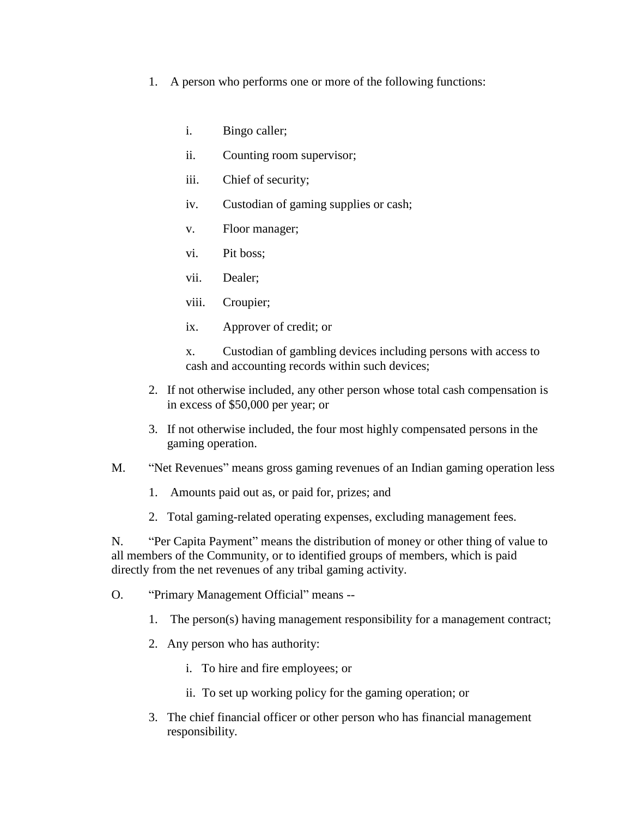- 1. A person who performs one or more of the following functions:
	- i. Bingo caller;
	- ii. Counting room supervisor;
	- iii. Chief of security;
	- iv. Custodian of gaming supplies or cash;
	- v. Floor manager;
	- vi. Pit boss;
	- vii. Dealer;
	- viii. Croupier;
	- ix. Approver of credit; or

x. Custodian of gambling devices including persons with access to cash and accounting records within such devices;

- 2. If not otherwise included, any other person whose total cash compensation is in excess of \$50,000 per year; or
- 3. If not otherwise included, the four most highly compensated persons in the gaming operation.
- M. "Net Revenues" means gross gaming revenues of an Indian gaming operation less
	- 1. Amounts paid out as, or paid for, prizes; and
	- 2. Total gaming-related operating expenses, excluding management fees.

N. "Per Capita Payment" means the distribution of money or other thing of value to all members of the Community, or to identified groups of members, which is paid directly from the net revenues of any tribal gaming activity.

- O. "Primary Management Official" means --
	- 1. The person(s) having management responsibility for a management contract;
	- 2. Any person who has authority:
		- i. To hire and fire employees; or
		- ii. To set up working policy for the gaming operation; or
	- 3. The chief financial officer or other person who has financial management responsibility.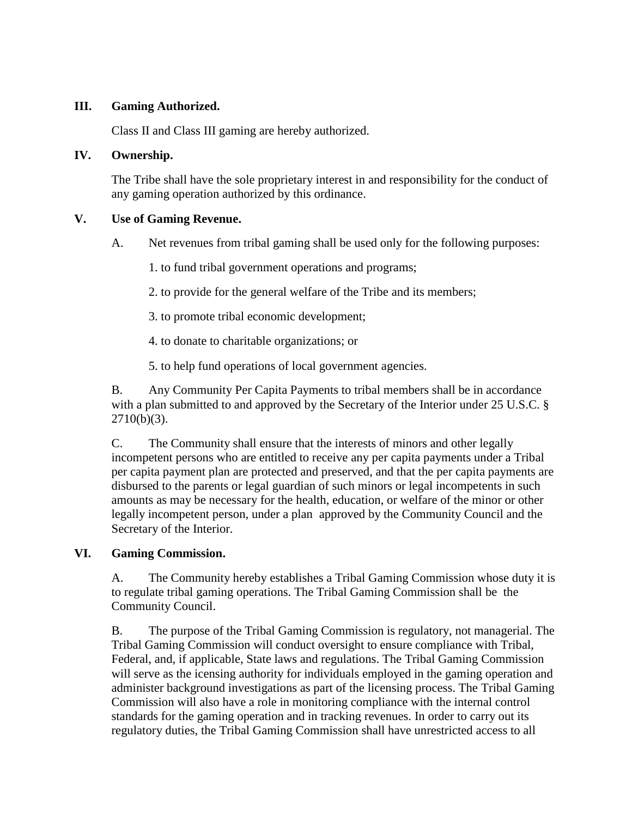# **III. Gaming Authorized.**

Class II and Class III gaming are hereby authorized.

#### **IV. Ownership.**

The Tribe shall have the sole proprietary interest in and responsibility for the conduct of any gaming operation authorized by this ordinance.

# **V. Use of Gaming Revenue.**

- A. Net revenues from tribal gaming shall be used only for the following purposes:
	- 1. to fund tribal government operations and programs;
	- 2. to provide for the general welfare of the Tribe and its members;
	- 3. to promote tribal economic development;
	- 4. to donate to charitable organizations; or
	- 5. to help fund operations of local government agencies.

B. Any Community Per Capita Payments to tribal members shall be in accordance with a plan submitted to and approved by the Secretary of the Interior under 25 U.S.C. §  $2710(b)(3)$ .

C. The Community shall ensure that the interests of minors and other legally incompetent persons who are entitled to receive any per capita payments under a Tribal per capita payment plan are protected and preserved, and that the per capita payments are disbursed to the parents or legal guardian of such minors or legal incompetents in such amounts as may be necessary for the health, education, or welfare of the minor or other legally incompetent person, under a plan approved by the Community Council and the Secretary of the Interior.

#### **VI. Gaming Commission.**

A. The Community hereby establishes a Tribal Gaming Commission whose duty it is to regulate tribal gaming operations. The Tribal Gaming Commission shall be the Community Council.

B. The purpose of the Tribal Gaming Commission is regulatory, not managerial. The Tribal Gaming Commission will conduct oversight to ensure compliance with Tribal, Federal, and, if applicable, State laws and regulations. The Tribal Gaming Commission will serve as the icensing authority for individuals employed in the gaming operation and administer background investigations as part of the licensing process. The Tribal Gaming Commission will also have a role in monitoring compliance with the internal control standards for the gaming operation and in tracking revenues. In order to carry out its regulatory duties, the Tribal Gaming Commission shall have unrestricted access to all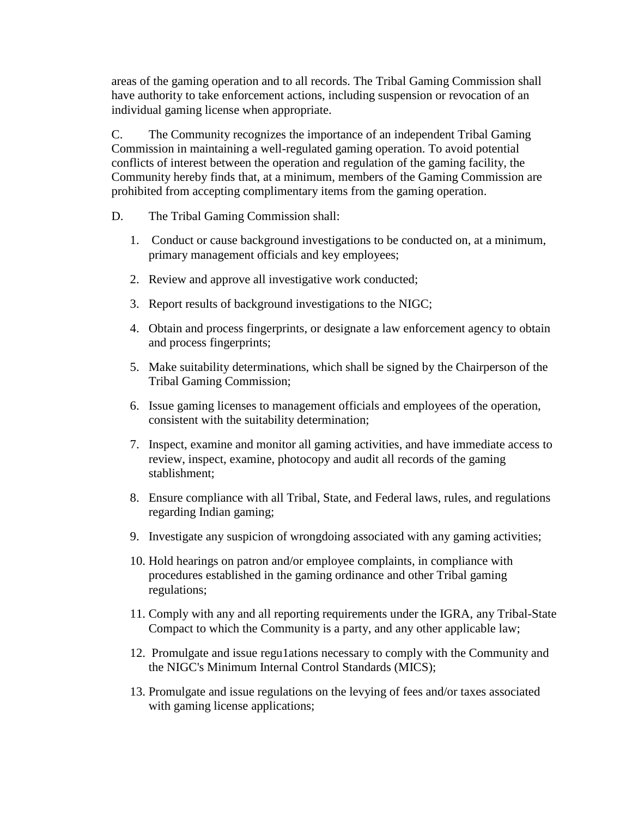areas of the gaming operation and to all records. The Tribal Gaming Commission shall have authority to take enforcement actions, including suspension or revocation of an individual gaming license when appropriate.

C. The Community recognizes the importance of an independent Tribal Gaming Commission in maintaining a well-regulated gaming operation. To avoid potential conflicts of interest between the operation and regulation of the gaming facility, the Community hereby finds that, at a minimum, members of the Gaming Commission are prohibited from accepting complimentary items from the gaming operation.

- D. The Tribal Gaming Commission shall:
	- 1. Conduct or cause background investigations to be conducted on, at a minimum, primary management officials and key employees;
	- 2. Review and approve all investigative work conducted;
	- 3. Report results of background investigations to the NIGC;
	- 4. Obtain and process fingerprints, or designate a law enforcement agency to obtain and process fingerprints;
	- 5. Make suitability determinations, which shall be signed by the Chairperson of the Tribal Gaming Commission;
	- 6. Issue gaming licenses to management officials and employees of the operation, consistent with the suitability determination;
	- 7. Inspect, examine and monitor all gaming activities, and have immediate access to review, inspect, examine, photocopy and audit all records of the gaming stablishment;
	- 8. Ensure compliance with all Tribal, State, and Federal laws, rules, and regulations regarding Indian gaming;
	- 9. Investigate any suspicion of wrongdoing associated with any gaming activities;
	- 10. Hold hearings on patron and/or employee complaints, in compliance with procedures established in the gaming ordinance and other Tribal gaming regulations;
	- 11. Comply with any and all reporting requirements under the IGRA, any Tribal-State Compact to which the Community is a party, and any other applicable law;
	- 12. Promulgate and issue regu1ations necessary to comply with the Community and the NIGC's Minimum Internal Control Standards (MICS);
	- 13. Promulgate and issue regulations on the levying of fees and/or taxes associated with gaming license applications;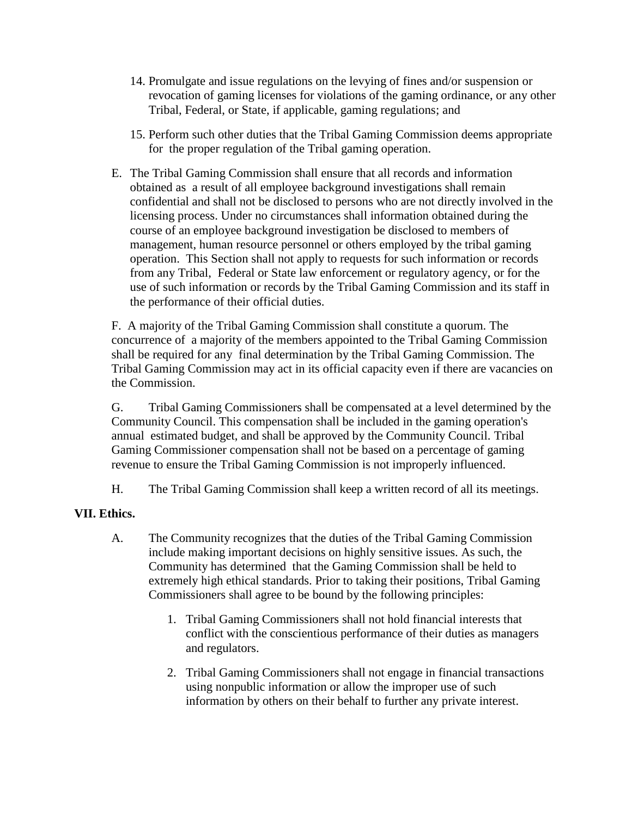- 14. Promulgate and issue regulations on the levying of fines and/or suspension or revocation of gaming licenses for violations of the gaming ordinance, or any other Tribal, Federal, or State, if applicable, gaming regulations; and
- 15. Perform such other duties that the Tribal Gaming Commission deems appropriate for the proper regulation of the Tribal gaming operation.
- E. The Tribal Gaming Commission shall ensure that all records and information obtained as a result of all employee background investigations shall remain confidential and shall not be disclosed to persons who are not directly involved in the licensing process. Under no circumstances shall information obtained during the course of an employee background investigation be disclosed to members of management, human resource personnel or others employed by the tribal gaming operation. This Section shall not apply to requests for such information or records from any Tribal, Federal or State law enforcement or regulatory agency, or for the use of such information or records by the Tribal Gaming Commission and its staff in the performance of their official duties.

F. A majority of the Tribal Gaming Commission shall constitute a quorum. The concurrence of a majority of the members appointed to the Tribal Gaming Commission shall be required for any final determination by the Tribal Gaming Commission. The Tribal Gaming Commission may act in its official capacity even if there are vacancies on the Commission.

G. Tribal Gaming Commissioners shall be compensated at a level determined by the Community Council. This compensation shall be included in the gaming operation's annual estimated budget, and shall be approved by the Community Council. Tribal Gaming Commissioner compensation shall not be based on a percentage of gaming revenue to ensure the Tribal Gaming Commission is not improperly influenced.

H. The Tribal Gaming Commission shall keep a written record of all its meetings.

#### **VII. Ethics.**

- A. The Community recognizes that the duties of the Tribal Gaming Commission include making important decisions on highly sensitive issues. As such, the Community has determined that the Gaming Commission shall be held to extremely high ethical standards. Prior to taking their positions, Tribal Gaming Commissioners shall agree to be bound by the following principles:
	- 1. Tribal Gaming Commissioners shall not hold financial interests that conflict with the conscientious performance of their duties as managers and regulators.
	- 2. Tribal Gaming Commissioners shall not engage in financial transactions using nonpublic information or allow the improper use of such information by others on their behalf to further any private interest.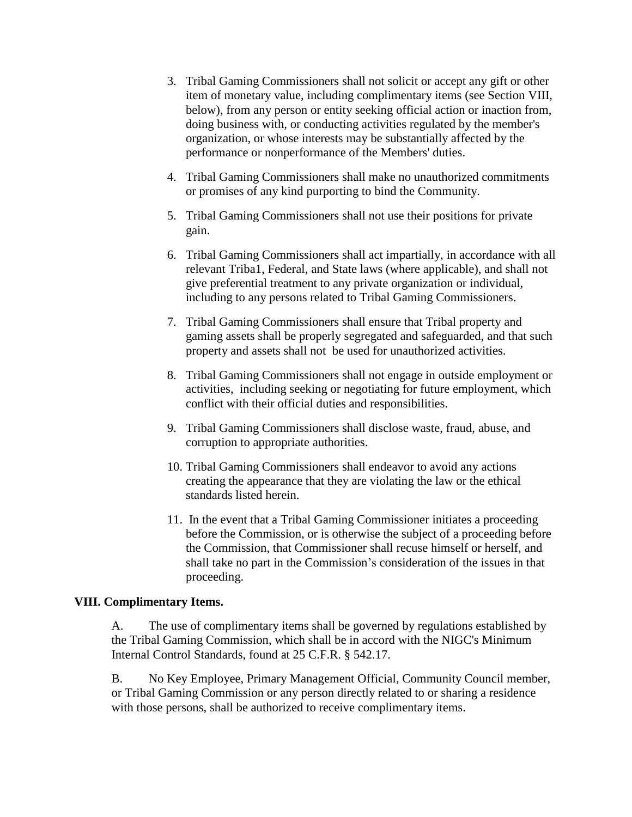- 3. Tribal Gaming Commissioners shall not solicit or accept any gift or other item of monetary value, including complimentary items (see Section VIII, below), from any person or entity seeking official action or inaction from, doing business with, or conducting activities regulated by the member's organization, or whose interests may be substantially affected by the performance or nonperformance of the Members' duties.
- 4. Tribal Gaming Commissioners shall make no unauthorized commitments or promises of any kind purporting to bind the Community.
- 5. Tribal Gaming Commissioners shall not use their positions for private gain.
- 6. Tribal Gaming Commissioners shall act impartially, in accordance with all relevant Triba1, Federal, and State laws (where applicable), and shall not give preferential treatment to any private organization or individual, including to any persons related to Tribal Gaming Commissioners.
- 7. Tribal Gaming Commissioners shall ensure that Tribal property and gaming assets shall be properly segregated and safeguarded, and that such property and assets shall not be used for unauthorized activities.
- 8. Tribal Gaming Commissioners shall not engage in outside employment or activities, including seeking or negotiating for future employment, which conflict with their official duties and responsibilities.
- 9. Tribal Gaming Commissioners shall disclose waste, fraud, abuse, and corruption to appropriate authorities.
- 10. Tribal Gaming Commissioners shall endeavor to avoid any actions creating the appearance that they are violating the law or the ethical standards listed herein.
- 11. In the event that a Tribal Gaming Commissioner initiates a proceeding before the Commission, or is otherwise the subject of a proceeding before the Commission, that Commissioner shall recuse himself or herself, and shall take no part in the Commission's consideration of the issues in that proceeding.

#### **VIII. Complimentary Items.**

A. The use of complimentary items shall be governed by regulations established by the Tribal Gaming Commission, which shall be in accord with the NIGC's Minimum Internal Control Standards, found at 25 C.F.R. § 542.17.

B. No Key Employee, Primary Management Official, Community Council member, or Tribal Gaming Commission or any person directly related to or sharing a residence with those persons, shall be authorized to receive complimentary items.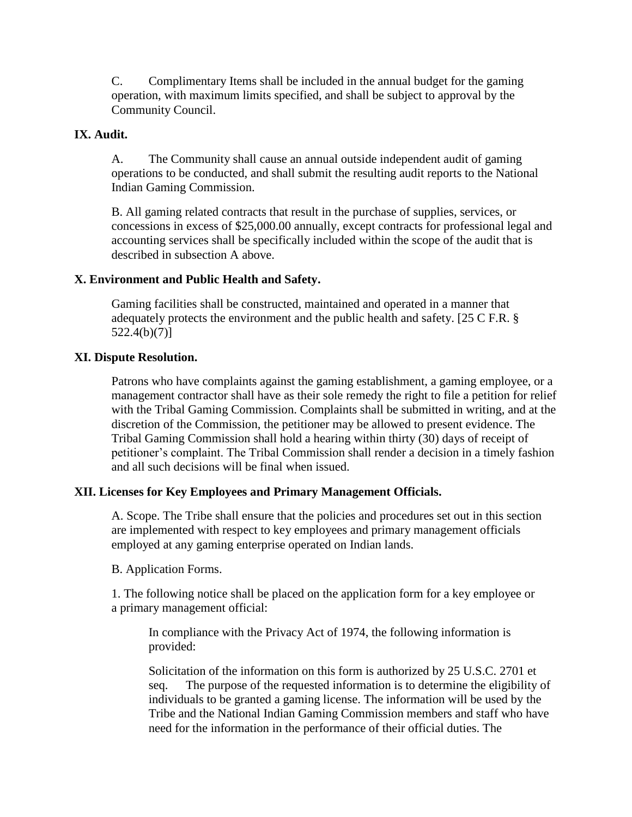C. Complimentary Items shall be included in the annual budget for the gaming operation, with maximum limits specified, and shall be subject to approval by the Community Council.

# **IX. Audit.**

A. The Community shall cause an annual outside independent audit of gaming operations to be conducted, and shall submit the resulting audit reports to the National Indian Gaming Commission.

B. All gaming related contracts that result in the purchase of supplies, services, or concessions in excess of \$25,000.00 annually, except contracts for professional legal and accounting services shall be specifically included within the scope of the audit that is described in subsection A above.

# **X. Environment and Public Health and Safety.**

Gaming facilities shall be constructed, maintained and operated in a manner that adequately protects the environment and the public health and safety. [25 C F.R. § 522.4(b)(7)]

## **XI. Dispute Resolution.**

Patrons who have complaints against the gaming establishment, a gaming employee, or a management contractor shall have as their sole remedy the right to file a petition for relief with the Tribal Gaming Commission. Complaints shall be submitted in writing, and at the discretion of the Commission, the petitioner may be allowed to present evidence. The Tribal Gaming Commission shall hold a hearing within thirty (30) days of receipt of petitioner's complaint. The Tribal Commission shall render a decision in a timely fashion and all such decisions will be final when issued.

# **XII. Licenses for Key Employees and Primary Management Officials.**

A. Scope. The Tribe shall ensure that the policies and procedures set out in this section are implemented with respect to key employees and primary management officials employed at any gaming enterprise operated on Indian lands.

#### B. Application Forms.

1. The following notice shall be placed on the application form for a key employee or a primary management official:

In compliance with the Privacy Act of 1974, the following information is provided:

Solicitation of the information on this form is authorized by 25 U.S.C. 2701 et seq. The purpose of the requested information is to determine the eligibility of individuals to be granted a gaming license. The information will be used by the Tribe and the National Indian Gaming Commission members and staff who have need for the information in the performance of their official duties. The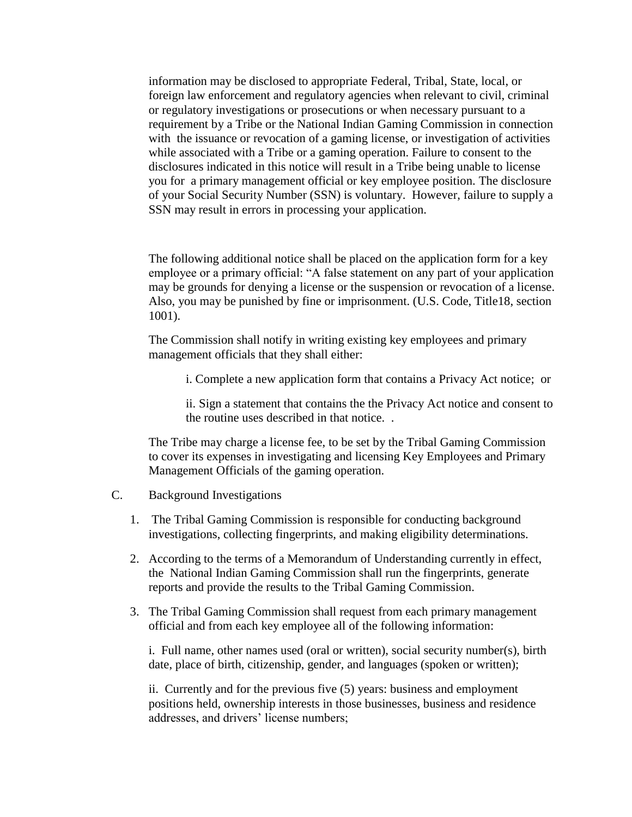information may be disclosed to appropriate Federal, Tribal, State, local, or foreign law enforcement and regulatory agencies when relevant to civil, criminal or regulatory investigations or prosecutions or when necessary pursuant to a requirement by a Tribe or the National Indian Gaming Commission in connection with the issuance or revocation of a gaming license, or investigation of activities while associated with a Tribe or a gaming operation. Failure to consent to the disclosures indicated in this notice will result in a Tribe being unable to license you for a primary management official or key employee position. The disclosure of your Social Security Number (SSN) is voluntary. However, failure to supply a SSN may result in errors in processing your application.

The following additional notice shall be placed on the application form for a key employee or a primary official: "A false statement on any part of your application may be grounds for denying a license or the suspension or revocation of a license. Also, you may be punished by fine or imprisonment. (U.S. Code, Title18, section 1001).

The Commission shall notify in writing existing key employees and primary management officials that they shall either:

i. Complete a new application form that contains a Privacy Act notice; or

ii. Sign a statement that contains the the Privacy Act notice and consent to the routine uses described in that notice. .

The Tribe may charge a license fee, to be set by the Tribal Gaming Commission to cover its expenses in investigating and licensing Key Employees and Primary Management Officials of the gaming operation.

- C. Background Investigations
	- 1. The Tribal Gaming Commission is responsible for conducting background investigations, collecting fingerprints, and making eligibility determinations.
	- 2. According to the terms of a Memorandum of Understanding currently in effect, the National Indian Gaming Commission shall run the fingerprints, generate reports and provide the results to the Tribal Gaming Commission.
	- 3. The Tribal Gaming Commission shall request from each primary management official and from each key employee all of the following information:

i. Full name, other names used (oral or written), social security number(s), birth date, place of birth, citizenship, gender, and languages (spoken or written);

ii. Currently and for the previous five (5) years: business and employment positions held, ownership interests in those businesses, business and residence addresses, and drivers' license numbers;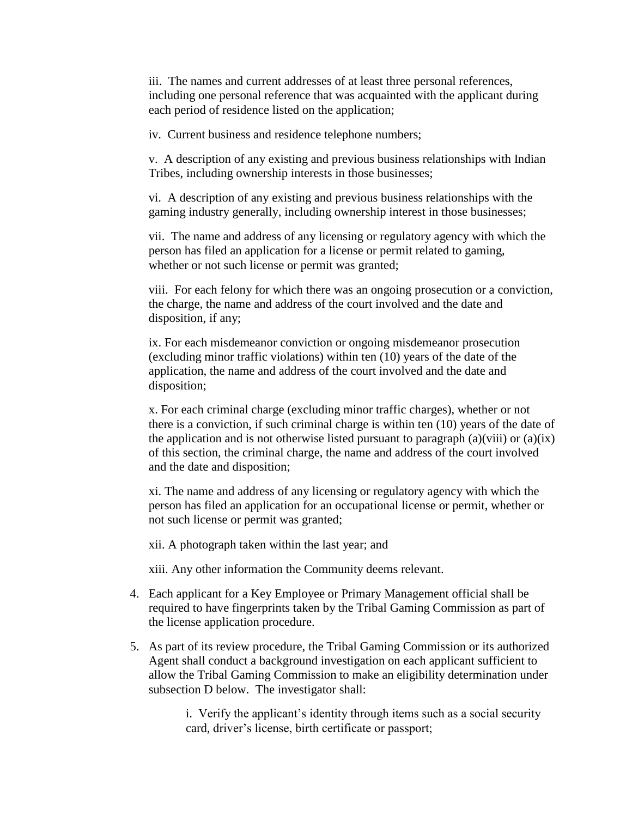iii. The names and current addresses of at least three personal references, including one personal reference that was acquainted with the applicant during each period of residence listed on the application;

iv. Current business and residence telephone numbers;

v. A description of any existing and previous business relationships with Indian Tribes, including ownership interests in those businesses;

vi. A description of any existing and previous business relationships with the gaming industry generally, including ownership interest in those businesses;

vii. The name and address of any licensing or regulatory agency with which the person has filed an application for a license or permit related to gaming, whether or not such license or permit was granted;

viii. For each felony for which there was an ongoing prosecution or a conviction, the charge, the name and address of the court involved and the date and disposition, if any;

ix. For each misdemeanor conviction or ongoing misdemeanor prosecution (excluding minor traffic violations) within ten (10) years of the date of the application, the name and address of the court involved and the date and disposition;

x. For each criminal charge (excluding minor traffic charges), whether or not there is a conviction, if such criminal charge is within ten (10) years of the date of the application and is not otherwise listed pursuant to paragraph  $(a)(viii)$  or  $(a)(ix)$ of this section, the criminal charge, the name and address of the court involved and the date and disposition;

xi. The name and address of any licensing or regulatory agency with which the person has filed an application for an occupational license or permit, whether or not such license or permit was granted;

xii. A photograph taken within the last year; and

xiii. Any other information the Community deems relevant.

- 4. Each applicant for a Key Employee or Primary Management official shall be required to have fingerprints taken by the Tribal Gaming Commission as part of the license application procedure.
- 5. As part of its review procedure, the Tribal Gaming Commission or its authorized Agent shall conduct a background investigation on each applicant sufficient to allow the Tribal Gaming Commission to make an eligibility determination under subsection D below. The investigator shall:

i. Verify the applicant's identity through items such as a social security card, driver's license, birth certificate or passport;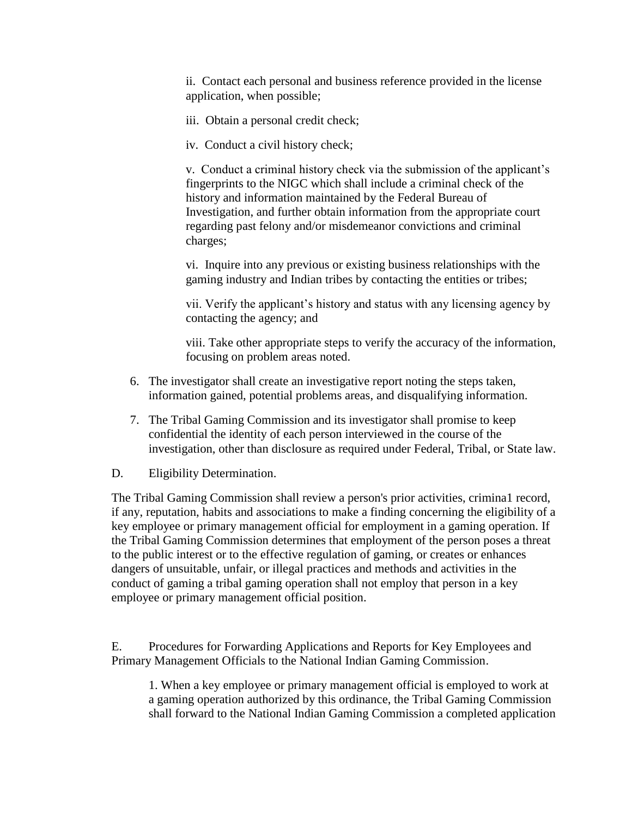ii. Contact each personal and business reference provided in the license application, when possible;

- iii. Obtain a personal credit check;
- iv. Conduct a civil history check;

v. Conduct a criminal history check via the submission of the applicant's fingerprints to the NIGC which shall include a criminal check of the history and information maintained by the Federal Bureau of Investigation, and further obtain information from the appropriate court regarding past felony and/or misdemeanor convictions and criminal charges;

vi. Inquire into any previous or existing business relationships with the gaming industry and Indian tribes by contacting the entities or tribes;

vii. Verify the applicant's history and status with any licensing agency by contacting the agency; and

viii. Take other appropriate steps to verify the accuracy of the information, focusing on problem areas noted.

- 6. The investigator shall create an investigative report noting the steps taken, information gained, potential problems areas, and disqualifying information.
- 7. The Tribal Gaming Commission and its investigator shall promise to keep confidential the identity of each person interviewed in the course of the investigation, other than disclosure as required under Federal, Tribal, or State law.
- D. Eligibility Determination.

The Tribal Gaming Commission shall review a person's prior activities, crimina1 record, if any, reputation, habits and associations to make a finding concerning the eligibility of a key employee or primary management official for employment in a gaming operation. If the Tribal Gaming Commission determines that employment of the person poses a threat to the public interest or to the effective regulation of gaming, or creates or enhances dangers of unsuitable, unfair, or illegal practices and methods and activities in the conduct of gaming a tribal gaming operation shall not employ that person in a key employee or primary management official position.

E. Procedures for Forwarding Applications and Reports for Key Employees and Primary Management Officials to the National Indian Gaming Commission.

1. When a key employee or primary management official is employed to work at a gaming operation authorized by this ordinance, the Tribal Gaming Commission shall forward to the National Indian Gaming Commission a completed application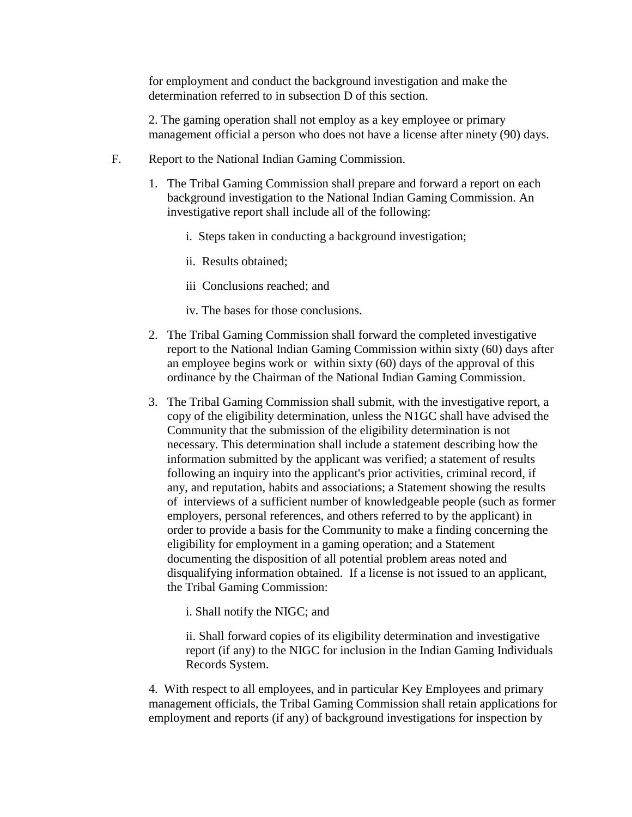for employment and conduct the background investigation and make the determination referred to in subsection D of this section.

2. The gaming operation shall not employ as a key employee or primary management official a person who does not have a license after ninety (90) days.

- F. Report to the National Indian Gaming Commission.
	- 1. The Tribal Gaming Commission shall prepare and forward a report on each background investigation to the National Indian Gaming Commission. An investigative report shall include all of the following:
		- i. Steps taken in conducting a background investigation;
		- ii. Results obtained;
		- iii Conclusions reached; and
		- iv. The bases for those conclusions.
	- 2. The Tribal Gaming Commission shall forward the completed investigative report to the National Indian Gaming Commission within sixty (60) days after an employee begins work or within sixty (60) days of the approval of this ordinance by the Chairman of the National Indian Gaming Commission.
	- 3. The Tribal Gaming Commission shall submit, with the investigative report, a copy of the eligibility determination, unless the N1GC shall have advised the Community that the submission of the eligibility determination is not necessary. This determination shall include a statement describing how the information submitted by the applicant was verified; a statement of results following an inquiry into the applicant's prior activities, criminal record, if any, and reputation, habits and associations; a Statement showing the results of interviews of a sufficient number of knowledgeable people (such as former employers, personal references, and others referred to by the applicant) in order to provide a basis for the Community to make a finding concerning the eligibility for employment in a gaming operation; and a Statement documenting the disposition of all potential problem areas noted and disqualifying information obtained. If a license is not issued to an applicant, the Tribal Gaming Commission:

i. Shall notify the NIGC; and

ii. Shall forward copies of its eligibility determination and investigative report (if any) to the NIGC for inclusion in the Indian Gaming Individuals Records System.

4. With respect to all employees, and in particular Key Employees and primary management officials, the Tribal Gaming Commission shall retain applications for employment and reports (if any) of background investigations for inspection by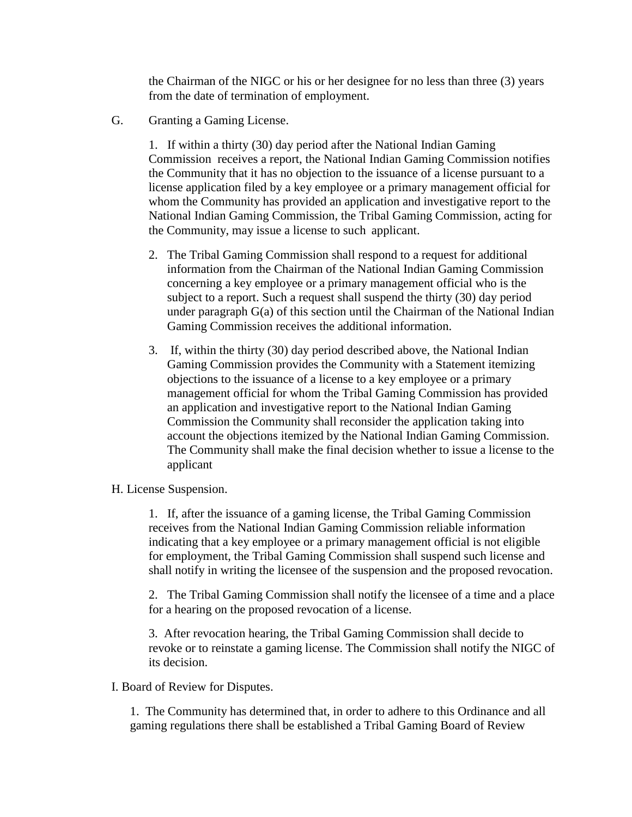the Chairman of the NIGC or his or her designee for no less than three (3) years from the date of termination of employment.

G. Granting a Gaming License.

1. If within a thirty (30) day period after the National Indian Gaming Commission receives a report, the National Indian Gaming Commission notifies the Community that it has no objection to the issuance of a license pursuant to a license application filed by a key employee or a primary management official for whom the Community has provided an application and investigative report to the National Indian Gaming Commission, the Tribal Gaming Commission, acting for the Community, may issue a license to such applicant.

- 2. The Tribal Gaming Commission shall respond to a request for additional information from the Chairman of the National Indian Gaming Commission concerning a key employee or a primary management official who is the subject to a report. Such a request shall suspend the thirty (30) day period under paragraph G(a) of this section until the Chairman of the National Indian Gaming Commission receives the additional information.
- 3. If, within the thirty (30) day period described above, the National Indian Gaming Commission provides the Community with a Statement itemizing objections to the issuance of a license to a key employee or a primary management official for whom the Tribal Gaming Commission has provided an application and investigative report to the National Indian Gaming Commission the Community shall reconsider the application taking into account the objections itemized by the National Indian Gaming Commission. The Community shall make the final decision whether to issue a license to the applicant
- H. License Suspension.

1. If, after the issuance of a gaming license, the Tribal Gaming Commission receives from the National Indian Gaming Commission reliable information indicating that a key employee or a primary management official is not eligible for employment, the Tribal Gaming Commission shall suspend such license and shall notify in writing the licensee of the suspension and the proposed revocation.

2. The Tribal Gaming Commission shall notify the licensee of a time and a place for a hearing on the proposed revocation of a license.

3. After revocation hearing, the Tribal Gaming Commission shall decide to revoke or to reinstate a gaming license. The Commission shall notify the NIGC of its decision.

I. Board of Review for Disputes.

1. The Community has determined that, in order to adhere to this Ordinance and all gaming regulations there shall be established a Tribal Gaming Board of Review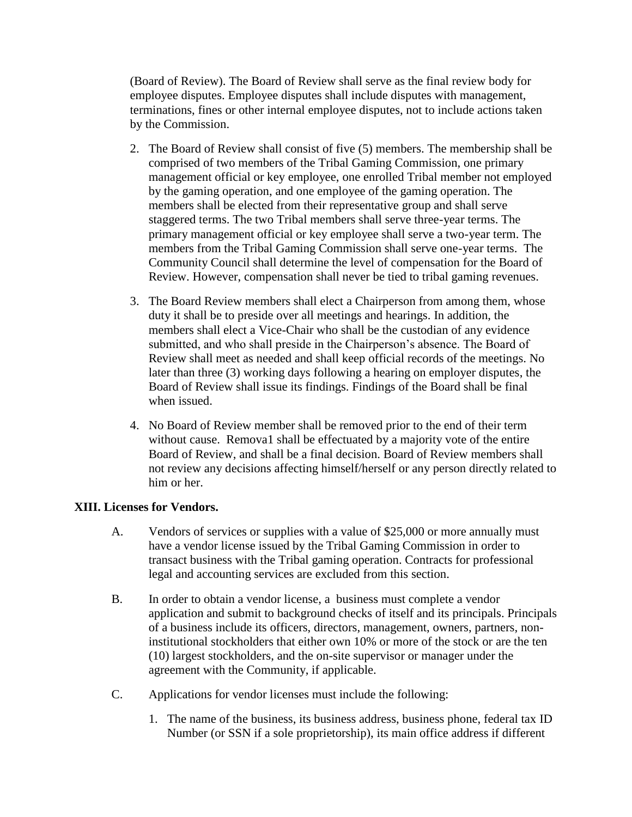(Board of Review). The Board of Review shall serve as the final review body for employee disputes. Employee disputes shall include disputes with management, terminations, fines or other internal employee disputes, not to include actions taken by the Commission.

- 2. The Board of Review shall consist of five (5) members. The membership shall be comprised of two members of the Tribal Gaming Commission, one primary management official or key employee, one enrolled Tribal member not employed by the gaming operation, and one employee of the gaming operation. The members shall be elected from their representative group and shall serve staggered terms. The two Tribal members shall serve three-year terms. The primary management official or key employee shall serve a two-year term. The members from the Tribal Gaming Commission shall serve one-year terms. The Community Council shall determine the level of compensation for the Board of Review. However, compensation shall never be tied to tribal gaming revenues.
- 3. The Board Review members shall elect a Chairperson from among them, whose duty it shall be to preside over all meetings and hearings. In addition, the members shall elect a Vice-Chair who shall be the custodian of any evidence submitted, and who shall preside in the Chairperson's absence. The Board of Review shall meet as needed and shall keep official records of the meetings. No later than three (3) working days following a hearing on employer disputes, the Board of Review shall issue its findings. Findings of the Board shall be final when issued.
- 4. No Board of Review member shall be removed prior to the end of their term without cause. Remova1 shall be effectuated by a majority vote of the entire Board of Review, and shall be a final decision. Board of Review members shall not review any decisions affecting himself/herself or any person directly related to him or her.

# **XIII. Licenses for Vendors.**

- A. Vendors of services or supplies with a value of \$25,000 or more annually must have a vendor license issued by the Tribal Gaming Commission in order to transact business with the Tribal gaming operation. Contracts for professional legal and accounting services are excluded from this section.
- B. In order to obtain a vendor license, a business must complete a vendor application and submit to background checks of itself and its principals. Principals of a business include its officers, directors, management, owners, partners, noninstitutional stockholders that either own 10% or more of the stock or are the ten (10) largest stockholders, and the on-site supervisor or manager under the agreement with the Community, if applicable.
- C. Applications for vendor licenses must include the following:
	- 1. The name of the business, its business address, business phone, federal tax ID Number (or SSN if a sole proprietorship), its main office address if different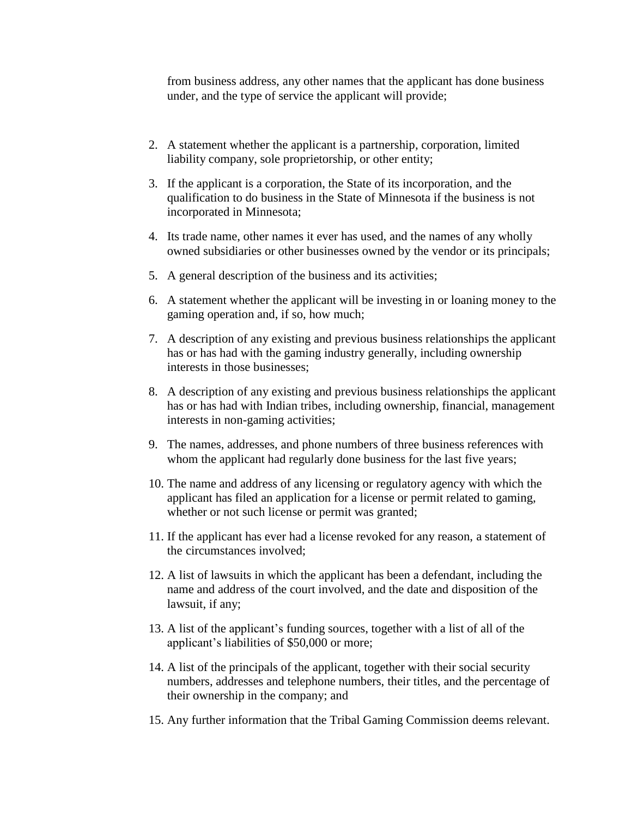from business address, any other names that the applicant has done business under, and the type of service the applicant will provide;

- 2. A statement whether the applicant is a partnership, corporation, limited liability company, sole proprietorship, or other entity;
- 3. If the applicant is a corporation, the State of its incorporation, and the qualification to do business in the State of Minnesota if the business is not incorporated in Minnesota;
- 4. Its trade name, other names it ever has used, and the names of any wholly owned subsidiaries or other businesses owned by the vendor or its principals;
- 5. A general description of the business and its activities;
- 6. A statement whether the applicant will be investing in or loaning money to the gaming operation and, if so, how much;
- 7. A description of any existing and previous business relationships the applicant has or has had with the gaming industry generally, including ownership interests in those businesses;
- 8. A description of any existing and previous business relationships the applicant has or has had with Indian tribes, including ownership, financial, management interests in non-gaming activities;
- 9. The names, addresses, and phone numbers of three business references with whom the applicant had regularly done business for the last five years;
- 10. The name and address of any licensing or regulatory agency with which the applicant has filed an application for a license or permit related to gaming, whether or not such license or permit was granted;
- 11. If the applicant has ever had a license revoked for any reason, a statement of the circumstances involved;
- 12. A list of lawsuits in which the applicant has been a defendant, including the name and address of the court involved, and the date and disposition of the lawsuit, if any;
- 13. A list of the applicant's funding sources, together with a list of all of the applicant's liabilities of \$50,000 or more;
- 14. A list of the principals of the applicant, together with their social security numbers, addresses and telephone numbers, their titles, and the percentage of their ownership in the company; and
- 15. Any further information that the Tribal Gaming Commission deems relevant.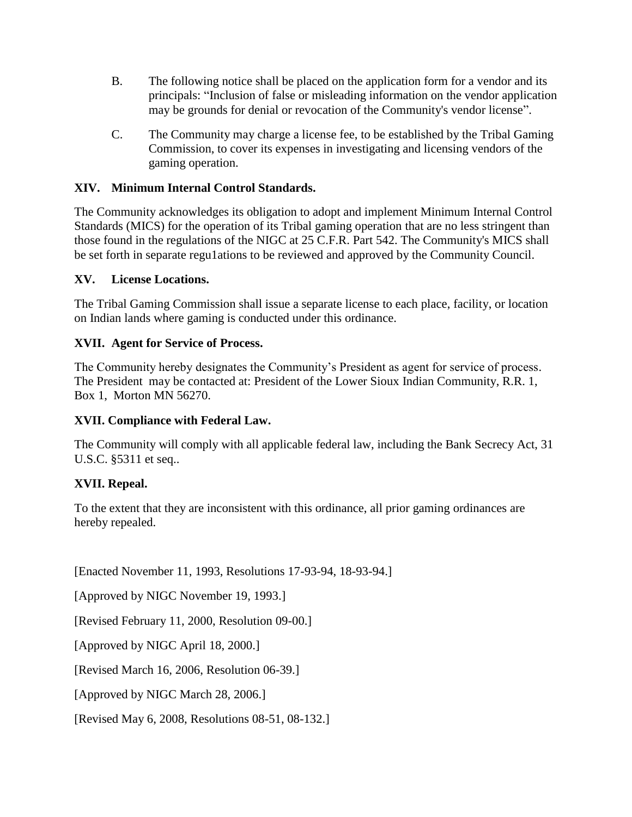- B. The following notice shall be placed on the application form for a vendor and its principals: "Inclusion of false or misleading information on the vendor application may be grounds for denial or revocation of the Community's vendor license".
- C. The Community may charge a license fee, to be established by the Tribal Gaming Commission, to cover its expenses in investigating and licensing vendors of the gaming operation.

# **XIV. Minimum Internal Control Standards.**

The Community acknowledges its obligation to adopt and implement Minimum Internal Control Standards (MICS) for the operation of its Tribal gaming operation that are no less stringent than those found in the regulations of the NIGC at 25 C.F.R. Part 542. The Community's MICS shall be set forth in separate regu1ations to be reviewed and approved by the Community Council.

# **XV. License Locations.**

The Tribal Gaming Commission shall issue a separate license to each place, facility, or location on Indian lands where gaming is conducted under this ordinance.

# **XVII. Agent for Service of Process.**

The Community hereby designates the Community's President as agent for service of process. The President may be contacted at: President of the Lower Sioux Indian Community, R.R. 1, Box 1, Morton MN 56270.

# **XVII. Compliance with Federal Law.**

The Community will comply with all applicable federal law, including the Bank Secrecy Act, 31 U.S.C. §5311 et seq..

# **XVII. Repeal.**

To the extent that they are inconsistent with this ordinance, all prior gaming ordinances are hereby repealed.

[Enacted November 11, 1993, Resolutions 17-93-94, 18-93-94.]

[Approved by NIGC November 19, 1993.]

[Revised February 11, 2000, Resolution 09-00.]

[Approved by NIGC April 18, 2000.]

[Revised March 16, 2006, Resolution 06-39.]

[Approved by NIGC March 28, 2006.]

[Revised May 6, 2008, Resolutions 08-51, 08-132.]